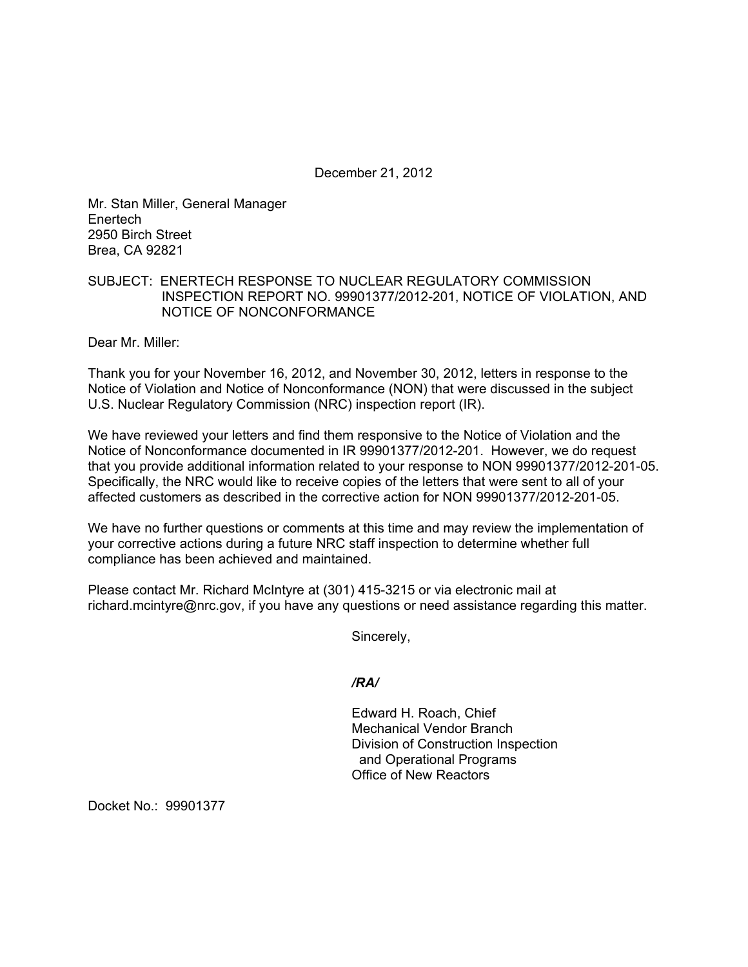December 21, 2012

Mr. Stan Miller, General Manager Enertech 2950 Birch Street Brea, CA 92821

## SUBJECT: ENERTECH RESPONSE TO NUCLEAR REGULATORY COMMISSION INSPECTION REPORT NO. 99901377/2012-201, NOTICE OF VIOLATION, AND NOTICE OF NONCONFORMANCE

Dear Mr. Miller:

Thank you for your November 16, 2012, and November 30, 2012, letters in response to the Notice of Violation and Notice of Nonconformance (NON) that were discussed in the subject U.S. Nuclear Regulatory Commission (NRC) inspection report (IR).

We have reviewed your letters and find them responsive to the Notice of Violation and the Notice of Nonconformance documented in IR 99901377/2012-201. However, we do request that you provide additional information related to your response to NON 99901377/2012-201-05. Specifically, the NRC would like to receive copies of the letters that were sent to all of your affected customers as described in the corrective action for NON 99901377/2012-201-05.

We have no further questions or comments at this time and may review the implementation of your corrective actions during a future NRC staff inspection to determine whether full compliance has been achieved and maintained.

Please contact Mr. Richard McIntyre at (301) 415-3215 or via electronic mail at richard.mcintyre@nrc.gov, if you have any questions or need assistance regarding this matter.

Sincerely,

*/RA/* 

Edward H. Roach, Chief Mechanical Vendor Branch Division of Construction Inspection and Operational Programs Office of New Reactors

Docket No.: 99901377